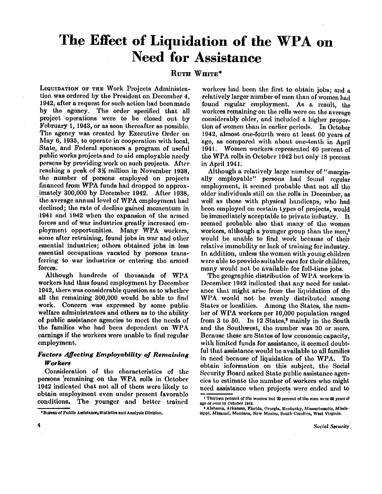# **The Effect of Liquidation of the WPA on Need for Assistance**

## **RUTH WHITE\***

LIQUIDATION OF THE Work Projects Administration was ordered by the President on December 4, 1942, after a request for such action had been made by the agency. The order specified that all project operations were to be closed out by February 1, 1943, or as soon thereafter as possible. The agency was created by Executive Order on May 6, 1935, to operate in cooperation with local, State, and Federal sponsors a program of useful public works projects and to aid employable needy persons by providing work on such projects. After reaching a peak of 3<sup>1</sup>/<sub>3</sub> million in November 1938, the number of persons employed on projects financed from WPA funds had dropped to approximately 300,000 by December 1942. After 1938, the average annual level of WPA employment had declined; the rate of decline gained momentum in 1941 and 1942 when the expansion of the armed forces and of war industries greatly increased employment opportunities. Many WPA workers, some after retraining, found jobs in war and other essential industries; others obtained jobs in less essential occupations vacated by persons transferring to war industries or entering the armed forces.

Although hundreds of thousands of WPA workers had thus found employment by December 1942, there was considerable question as to whether all the remaining 300,000 would be able to find work. Concern was expressed by some public welfare administrators and others as to the ability of public assistance agencies to meet the needs of the families who had been dependent on WPA earnings if the workers were unable to find regular employment.

## *Factors Affecting Employability of Remaining Workers*

Consideration of the characteristics of the persons remaining on the WPA rolls in October 1942 indicated that not all of them were likely to obtain employment even under present favorable The younger and better trained

workers had been the first to obtain jobs; and a relatively larger number of men than of women had found regular employment. As a result, the workers remaining on the rolls were on the average considerably older, and included a higher proportion of women than in earlier periods. In October 1942, almost one-fourth were at least 60 years of age, as compared with about one-tenth in April 1941. Women workers represented 40 percent of the WPA rolls in October 1942 but only 18 percent in April 1941.

Although a relatively large number of "marginally employable" persons had found regular employment, it seemed probable that not all the older individuals still on the rolls in December, as well as those with physical handicaps, who had been employed on certain types of projects, would be immediately acceptable to private industry. It seemed probable also that many of the women workers, although a younger group than the men,<sup>1</sup> would be unable to find work because of their relative immobility or lack of training for industry. In addition, unless the women with young children were able to provide suitable care for their children, many would not be available for full-time jobs.

The geographic distribution of WPA workers in December 1942 indicated that any need for assistance that might arise from the liquidation of the WPA would not be evenly distributed among States or localities. Among the States, the number of WPA workers per 10,000 population ranged from 3 to 50. In 12 States,<sup>2</sup> mainly in the South and the Southwest, the number was 30 or more. Because these are States of low economic capacity, with limited funds for assistance, it seemed doubtful that assistance would be available to all families in need because of liquidation of the WPA. To obtain information on this subject, the Social Security Board asked State public assistance agencies to estimate the number of workers who might need assistance when projects were ended and to

 $\ddot{\mathbf{4}}$ 

<sup>\*</sup>Bureau of Public Assistance, Statistics and Analysis Division.

<sup>1</sup> Thirteen percent of the women but 20 percent of the men were 60 years of age or over in October 1942.

<sup>2</sup> Alabama, Arkansas, Florida, Georgla, Kentucky , Massachusetts, Mississippi, Missouri, Montana, New Moxico, South Carolina, West Virginia.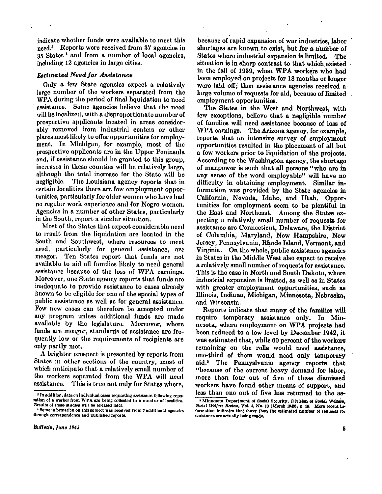indicate whether funds were available to meet this need.<sup>3</sup> Reports were received from 37 agencies in 35 States<sup>4</sup> and from a number of local agencies, including 12 agencies in large cities.

#### *Estimated Need for Assistance*

Only a few State agencies expect a relatively large number of the workers separated from the WPA during the period of final liquidation to need assistance. Some agencies believe that the need will be localized, with a disproportionate number of prospective applicants located in areas considerably removed from industrial centers or other places most likely to offer opportunities for employment. In Michigan, for example, most of the prospective applicants are in the Upper Peninsula and, if assistance should be granted to this group, increases in these counties will be relatively large, although the total increase for the State will be negligible. The Louisiana agency reports that in certain localities there are few employment opportunities, particularly for older women who have had no regular work experience and for Negro women. Agencies in a number of other States, particularly in the South, report a similar situation.

Most of the States that expect considerable need to result from the liquidation are located in the South and Southwest, where resources to meet need, particularly for general assistance, are meager. Ten States report that funds are not available to aid all families likely to need general assistance because of the loss of WPA earnings. Moreover, one State agency reports that funds are inadequate to provide assistance to cases already known to be eligible for one of the special types of public assistance as well as for general assistance. Few new cases can therefore be accepted under any program unless additional funds are made available by the legislature. Moreover, where funds are meager, standards of assistance are frequently low or the requirements of recipients are only partly met.

A brighter prospect is presented by reports from States in other sections of the country, most of which anticipate that a relatively small number of the workers separated from the WPA will need assistance. This is true not only for States where,

because of rapid expansion of war industries, labor shortages are known to exist, but for a number of States where industrial expansion is limited. The situation is in sharp contrast to that which existed in the fall of 1939, when WPA workers who had been employed on projects for 18 months or longer were laid off; then assistance agencies received a large volume of requests for aid, because of limited employment opportunities.

The States in the West and Northwest, with few exceptions, believe that a negligible number of families will need assistance because of loss of WPA earnings. The Arizona agency, for example, reports that an intensive survey of employment opportunities resulted in the placement of all but a few workers prior to liquidation of the projects. According to the Washington agency, the shortage of manpower is such that all persons "who are in any sense of the word employable" will have no difficulty in obtaining employment. Similar information was provided by the State agencies in California, Nevada, Idaho, and Utah. Opportunities for employment seem to be plentiful in the East and Northeast. Among the States expecting a relatively small number of requests for assistance are Connecticut, Delaware, the District of Columbia, Maryland, New Hampshire, New Jersey, Pennsylvania, Rhode Island, Vermont, and Virginia. On the whole, public assistance agencies in States in the Middle West also expect to receive a relatively small number of requests for assistance. This is the case in North and South Dakota, where industrial expansion is limited, as well as in States with greater employment opportunities, such as Illinois, Indiana, Michigan, Minnesota, Nebraska, and Wisconsin.

Reports indicate that many of the families will require temporary assistance only. In Minnesota, where employment on WPA projects had been reduced to a low level by December 1942, it was estimated that, while 60 percent of the workers remaining on the rolls would need assistance. one-third of them would need only temporary aid. <sup>5</sup> The Pennyslvania agency reports that "because of the current heavy demand for labor, more than four out of five of these dismissed workers have found other means of support, and less than one out of five has returned to the as-

<sup>3</sup> In addition, data on individual cases requesting assistance following separation of a worker from WPA are being collected in **a** number of localities. Results of these studies will be released later.

<sup>4</sup> Some information on this subject was received from 7 additional agencies through correspondence and published reports.

<sup>5</sup> Minnesota Department of Social Security, Division of Social Welfare, *Social Welfare Review,* Vol. 4, No. 10 (March 1943), p. 18. More recent in-formation indicates that fewer than the estimated number of requests for assistance are actually being made.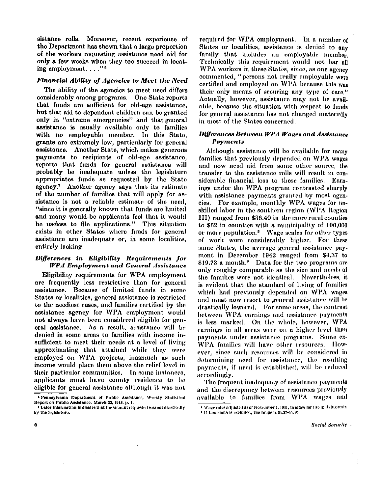sistance rolls. Moreover, recent experience of the Department has shown that a large proportion of the workers requesting assistance need aid for only a few weeks when they too succeed in locating employment. . . ."<sup>6</sup>

#### *Financial Ability of Agencies to Meet the Need*

The ability of the agencies to meet need differs considerably among programs. One State reports that funds are sufficient for old-age assistance, but that aid to dependent children can be granted only in "extreme emergencies" and that general assistance is usually available only to families with no employable member. In this State, grants are extremely low, particularly for general assistance. Another State, which makes generous payments to recipients of old-age assistance, reports that funds for general assistance will probably be inadequate unless the legislature appropriates funds as requested by the State agency.<sup>7</sup> Another agency says that its estimate of the number of families that will apply for assistance is not a reliable estimate of the need, "since it is generally known that funds are limited and many would-be applicants feel that it would be useless to file applications." This situation exists in other States where funds for general assistance are inadequate or, in some localities, entirely lacking.

#### *Differences in Eligibility Requirements for WPA Employment and General Assistance*

Eligibility requirements for WPA employment are frequently less restrictive than for general assistance. Because of limited funds in some States or localities, general assistance is restricted to the neediest cases, and families certified by the assistance agency for WPA employment would not always have been considered eligible for general assistance. As a result, assistance will be denied in some areas to families with income insufficient to meet their needs at a level of living approximating that attained while they were employed on WPA projects, inasmuch as such income would place them above the relief level in their particular communities. In some instances, applicants must have county residence to be eligible for general assistance although it was not

required for WPA employment. In a number of States or localities, assistance is denied to any family that includes an employable member. Technically this requirement would not bar all WPA workers in these States, since, as one agency commented, "persons not really employable were certified and employed on WPA because this was their only means of securing any type of care." Actually, however, assistance may not be available, because the situation with respect to funds for general assistance has not changed materially in most of the States concerned.

### *Differences Between WPA Wages and Assistance Payments*

Although assistance will be available for many families that previously depended on WPA wages and now need aid from some other source, the transfer to the assistance rolls will result in considerable financial loss to these families. Earnings under the WPA program contrasted sharply with assistance payments granted by most agencies. For example, monthly WPA wages for unskilled labor in the southern region (WPA Region III ) ranged from \$36.40 in the more rural counties to \$52 in counties with a municipality of 100,000 or more population.<sup>8</sup> Wage scales for other types of work were considerably higher. For these same States, the average general assistance payment in December 1942 ranged from \$4.37 to \$19.73 a month.<sup>9</sup> Data for the two programs are only roughly comparable as the size and needs of the families were not identical. Nevertheless, it is evident that the standard of living of families which had previously depended on WPA wages and must now resort to general assistance will be drastically lowered. For some areas, the contrast between WPA earnings and assistance payments is less marked. On the whole, however, WPA earnings in all areas were on a higher level than payments under assistance programs. Some ex-WPA families will have other resources. However, since such resources will be considered in determining need for assistance, the resulting payments, if need is established, will be reduced accordingly.

The frequent inadequacy of assistance payments and the discrepancy between resources previously available to families from WPA wages and

**Social Security** 

<sup>&</sup>lt;sup>4</sup> Pennsylvania Department of Public Assistance, Weekly Statistical Report on Public Assistance, March 22, 1943, p. 1.

<sup>&</sup>lt;sup>2</sup> Later information indicates that the amount requested was cut drastically by the legislature.

<sup>8</sup>Wage rates adjusted as of November 1, 1911, to allow for rise in living costs. 9 If Louisiana is excluded, the range is \$1.37-11.10.